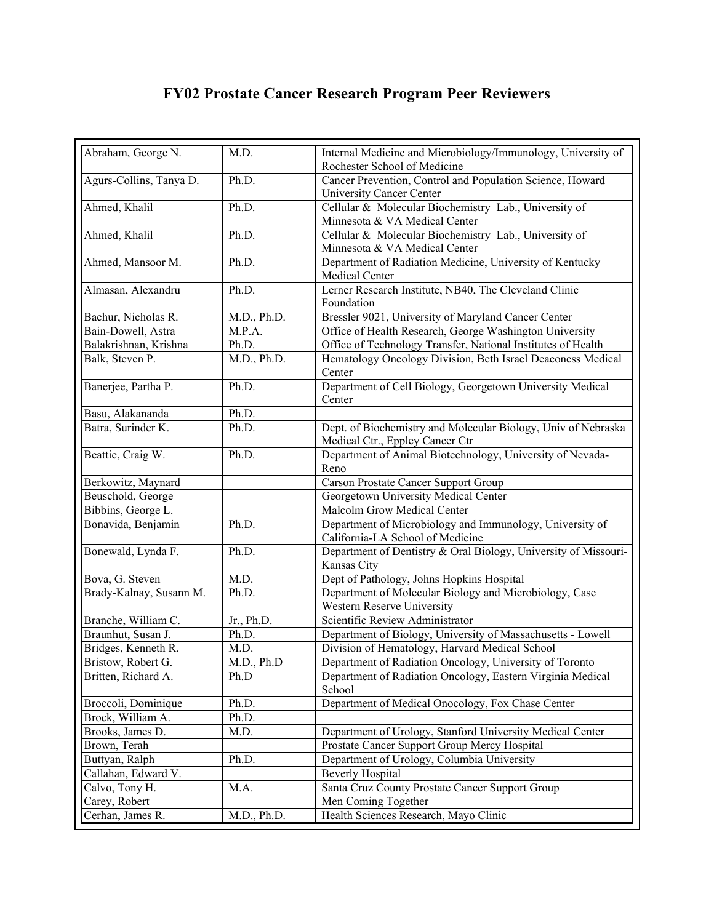## **FY02 Prostate Cancer Research Program Peer Reviewers**

| Abraham, George N.      | M.D.        | Internal Medicine and Microbiology/Immunology, University of<br>Rochester School of Medicine     |
|-------------------------|-------------|--------------------------------------------------------------------------------------------------|
| Agurs-Collins, Tanya D. | Ph.D.       | Cancer Prevention, Control and Population Science, Howard<br><b>University Cancer Center</b>     |
| Ahmed, Khalil           | Ph.D.       | Cellular & Molecular Biochemistry Lab., University of<br>Minnesota & VA Medical Center           |
| Ahmed, Khalil           | Ph.D.       | Cellular & Molecular Biochemistry Lab., University of<br>Minnesota & VA Medical Center           |
| Ahmed, Mansoor M.       | Ph.D.       | Department of Radiation Medicine, University of Kentucky<br>Medical Center                       |
| Almasan, Alexandru      | Ph.D.       | Lerner Research Institute, NB40, The Cleveland Clinic<br>Foundation                              |
| Bachur, Nicholas R.     | M.D., Ph.D. | Bressler 9021, University of Maryland Cancer Center                                              |
| Bain-Dowell, Astra      | M.P.A.      | Office of Health Research, George Washington University                                          |
| Balakrishnan, Krishna   | Ph.D.       | Office of Technology Transfer, National Institutes of Health                                     |
| Balk, Steven P.         | M.D., Ph.D. | Hematology Oncology Division, Beth Israel Deaconess Medical<br>Center                            |
| Banerjee, Partha P.     | Ph.D.       | Department of Cell Biology, Georgetown University Medical<br>Center                              |
| Basu, Alakananda        | Ph.D.       |                                                                                                  |
| Batra, Surinder K.      | Ph.D.       | Dept. of Biochemistry and Molecular Biology, Univ of Nebraska<br>Medical Ctr., Eppley Cancer Ctr |
| Beattie, Craig W.       | Ph.D.       | Department of Animal Biotechnology, University of Nevada-<br>Reno                                |
| Berkowitz, Maynard      |             | <b>Carson Prostate Cancer Support Group</b>                                                      |
| Beuschold, George       |             | Georgetown University Medical Center                                                             |
| Bibbins, George L.      |             | Malcolm Grow Medical Center                                                                      |
| Bonavida, Benjamin      | Ph.D.       | Department of Microbiology and Immunology, University of<br>California-LA School of Medicine     |
| Bonewald, Lynda F.      | Ph.D.       | Department of Dentistry & Oral Biology, University of Missouri-<br>Kansas City                   |
| Bova, G. Steven         | M.D.        | Dept of Pathology, Johns Hopkins Hospital                                                        |
| Brady-Kalnay, Susann M. | Ph.D.       | Department of Molecular Biology and Microbiology, Case<br>Western Reserve University             |
| Branche, William C.     | Jr., Ph.D.  | Scientific Review Administrator                                                                  |
| Braunhut, Susan J.      | Ph.D.       | Department of Biology, University of Massachusetts - Lowell                                      |
| Bridges, Kenneth R.     | M.D.        | Division of Hematology, Harvard Medical School                                                   |
| Bristow, Robert G.      | M.D., Ph.D  | Department of Radiation Oncology, University of Toronto                                          |
| Britten, Richard A.     | Ph.D        | Department of Radiation Oncology, Eastern Virginia Medical<br>School                             |
| Broccoli, Dominique     | Ph.D.       | Department of Medical Onocology, Fox Chase Center                                                |
| Brock, William A.       | Ph.D.       |                                                                                                  |
| Brooks, James D.        | M.D.        | Department of Urology, Stanford University Medical Center                                        |
| Brown, Terah            |             | Prostate Cancer Support Group Mercy Hospital                                                     |
| Buttyan, Ralph          | Ph.D.       | Department of Urology, Columbia University                                                       |
| Callahan, Edward V.     |             | <b>Beverly Hospital</b>                                                                          |
| Calvo, Tony H.          | M.A.        | Santa Cruz County Prostate Cancer Support Group                                                  |
| Carey, Robert           |             | Men Coming Together                                                                              |
| Cerhan, James R.        | M.D., Ph.D. | Health Sciences Research, Mayo Clinic                                                            |
|                         |             |                                                                                                  |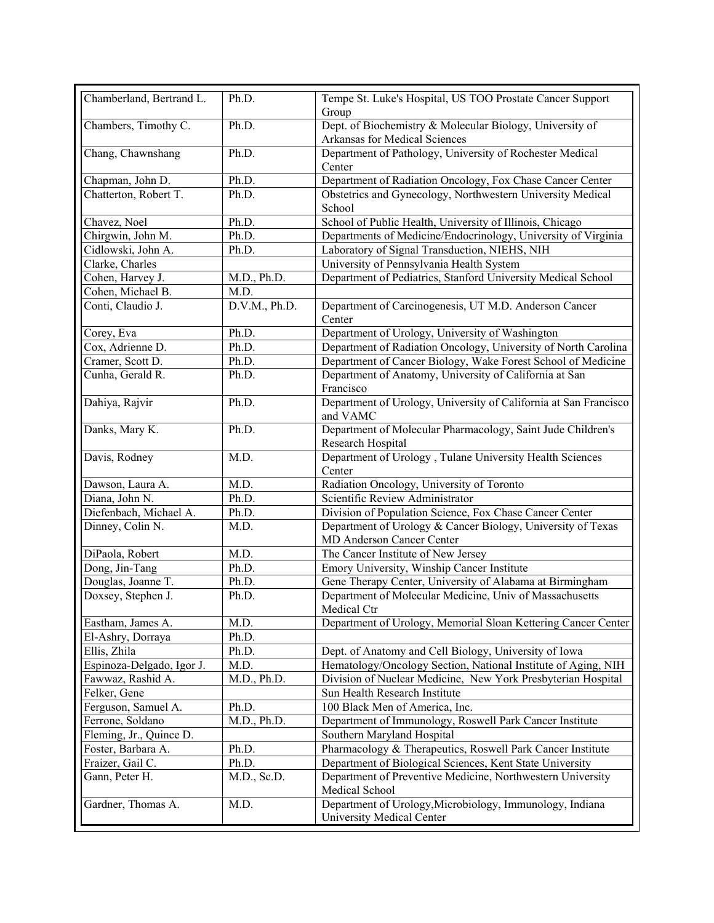| Chamberland, Bertrand L.  | Ph.D.         | Tempe St. Luke's Hospital, US TOO Prostate Cancer Support<br>Group                        |
|---------------------------|---------------|-------------------------------------------------------------------------------------------|
| Chambers, Timothy C.      | Ph.D.         | Dept. of Biochemistry & Molecular Biology, University of<br>Arkansas for Medical Sciences |
| Chang, Chawnshang         | Ph.D.         | Department of Pathology, University of Rochester Medical<br>Center                        |
| Chapman, John D.          | Ph.D.         | Department of Radiation Oncology, Fox Chase Cancer Center                                 |
| Chatterton, Robert T.     | Ph.D.         | Obstetrics and Gynecology, Northwestern University Medical<br>School                      |
| Chavez, Noel              | Ph.D.         | School of Public Health, University of Illinois, Chicago                                  |
| Chirgwin, John M.         | Ph.D.         | Departments of Medicine/Endocrinology, University of Virginia                             |
| Cidlowski, John A.        | Ph.D.         | Laboratory of Signal Transduction, NIEHS, NIH                                             |
| Clarke, Charles           |               | University of Pennsylvania Health System                                                  |
| Cohen, Harvey J.          | M.D., Ph.D.   | Department of Pediatrics, Stanford University Medical School                              |
| Cohen, Michael B.         | M.D.          |                                                                                           |
| Conti, Claudio J.         | D.V.M., Ph.D. | Department of Carcinogenesis, UT M.D. Anderson Cancer<br>Center                           |
| Corey, Eva                | Ph.D.         | Department of Urology, University of Washington                                           |
| Cox, Adrienne D.          | Ph.D.         | Department of Radiation Oncology, University of North Carolina                            |
| Cramer, Scott D.          | Ph.D.         | Department of Cancer Biology, Wake Forest School of Medicine                              |
| Cunha, Gerald R.          | Ph.D.         | Department of Anatomy, University of California at San<br>Francisco                       |
| Dahiya, Rajvir            | Ph.D.         | Department of Urology, University of California at San Francisco<br>and VAMC              |
| Danks, Mary K.            | Ph.D.         | Department of Molecular Pharmacology, Saint Jude Children's<br>Research Hospital          |
| Davis, Rodney             | M.D.          | Department of Urology, Tulane University Health Sciences<br>Center                        |
| Dawson, Laura A.          | M.D.          | Radiation Oncology, University of Toronto                                                 |
| Diana, John N.            | Ph.D.         | Scientific Review Administrator                                                           |
| Diefenbach, Michael A.    | Ph.D.         | Division of Population Science, Fox Chase Cancer Center                                   |
| Dinney, Colin N.          | M.D.          | Department of Urology & Cancer Biology, University of Texas<br>MD Anderson Cancer Center  |
| DiPaola, Robert           | M.D.          | The Cancer Institute of New Jersey                                                        |
| Dong, Jin-Tang            | Ph.D.         | Emory University, Winship Cancer Institute                                                |
| Douglas, Joanne T.        | Ph.D.         | Gene Therapy Center, University of Alabama at Birmingham                                  |
| Doxsey, Stephen J.        | Ph.D.         | Department of Molecular Medicine, Univ of Massachusetts<br>Medical Ctr                    |
| Eastham, James A.         | M.D.          | Department of Urology, Memorial Sloan Kettering Cancer Center                             |
| El-Ashry, Dorraya         | Ph.D.         |                                                                                           |
| Ellis, Zhila              | Ph.D.         | Dept. of Anatomy and Cell Biology, University of Iowa                                     |
| Espinoza-Delgado, Igor J. | M.D.          | Hematology/Oncology Section, National Institute of Aging, NIH                             |
| Fawwaz, Rashid A.         | M.D., Ph.D.   | Division of Nuclear Medicine, New York Presbyterian Hospital                              |
| Felker, Gene              |               | Sun Health Research Institute                                                             |
| Ferguson, Samuel A.       | Ph.D.         | 100 Black Men of America, Inc.                                                            |
| Ferrone, Soldano          | M.D., Ph.D.   | Department of Immunology, Roswell Park Cancer Institute                                   |
| Fleming, Jr., Quince D.   |               | Southern Maryland Hospital                                                                |
| Foster, Barbara A.        | Ph.D.         | Pharmacology & Therapeutics, Roswell Park Cancer Institute                                |
| Fraizer, Gail C.          | Ph.D.         |                                                                                           |
|                           |               | Department of Biological Sciences, Kent State University                                  |
| Gann, Peter H.            | M.D., Sc.D.   | Department of Preventive Medicine, Northwestern University<br>Medical School              |
| Gardner, Thomas A.        | M.D.          | Department of Urology, Microbiology, Immunology, Indiana<br>University Medical Center     |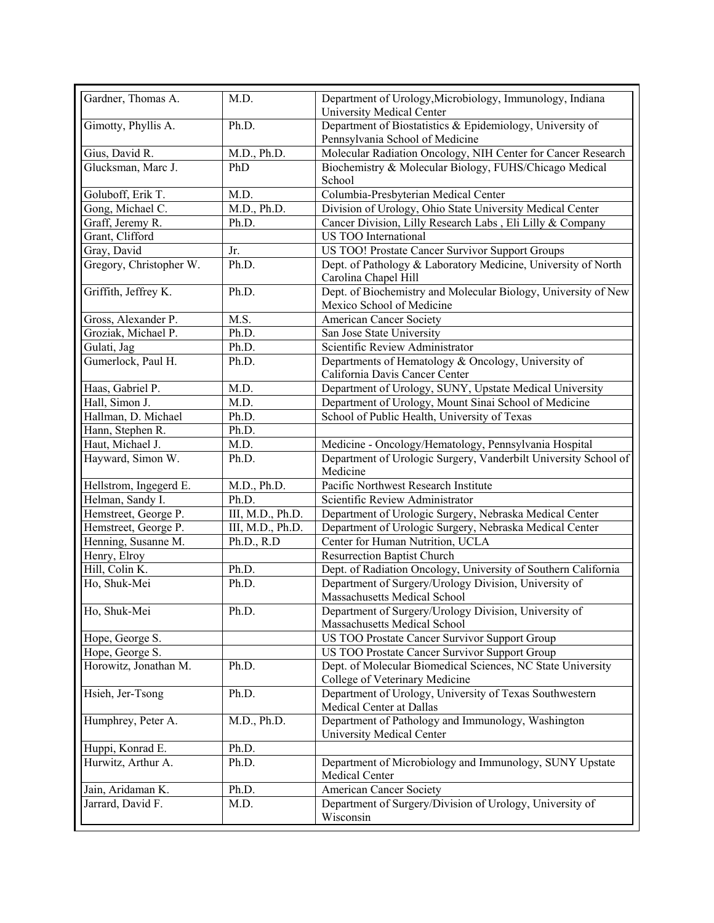| Gardner, Thomas A.      | M.D.             | Department of Urology, Microbiology, Immunology, Indiana<br>University Medical Center        |
|-------------------------|------------------|----------------------------------------------------------------------------------------------|
| Gimotty, Phyllis A.     | Ph.D.            | Department of Biostatistics & Epidemiology, University of<br>Pennsylvania School of Medicine |
| Gius, David R.          | M.D., Ph.D.      | Molecular Radiation Oncology, NIH Center for Cancer Research                                 |
| Glucksman, Marc J.      | PhD              | Biochemistry & Molecular Biology, FUHS/Chicago Medical                                       |
|                         |                  | School                                                                                       |
| Goluboff, Erik T.       | M.D.             | Columbia-Presbyterian Medical Center                                                         |
| Gong, Michael C.        | M.D., Ph.D.      | Division of Urology, Ohio State University Medical Center                                    |
| Graff, Jeremy R.        | Ph.D.            | Cancer Division, Lilly Research Labs, Eli Lilly & Company                                    |
| Grant, Clifford         |                  | US TOO International                                                                         |
| Gray, David             | Jr.              | US TOO! Prostate Cancer Survivor Support Groups                                              |
| Gregory, Christopher W. | Ph.D.            | Dept. of Pathology & Laboratory Medicine, University of North                                |
|                         |                  | Carolina Chapel Hill                                                                         |
| Griffith, Jeffrey K.    | Ph.D.            | Dept. of Biochemistry and Molecular Biology, University of New                               |
|                         |                  | Mexico School of Medicine                                                                    |
| Gross, Alexander P.     | M.S.             | <b>American Cancer Society</b>                                                               |
| Groziak, Michael P.     | Ph.D.            | San Jose State University                                                                    |
| Gulati, Jag             | Ph.D.            | Scientific Review Administrator                                                              |
| Gumerlock, Paul H.      | Ph.D.            | Departments of Hematology & Oncology, University of                                          |
|                         |                  | California Davis Cancer Center                                                               |
| Haas, Gabriel P.        | M.D.             | Department of Urology, SUNY, Upstate Medical University                                      |
| Hall, Simon J.          | M.D.             | Department of Urology, Mount Sinai School of Medicine                                        |
| Hallman, D. Michael     | Ph.D.            | School of Public Health, University of Texas                                                 |
| Hann, Stephen R.        | Ph.D.            |                                                                                              |
| Haut, Michael J.        | M.D.             | Medicine - Oncology/Hematology, Pennsylvania Hospital                                        |
| Hayward, Simon W.       | Ph.D.            | Department of Urologic Surgery, Vanderbilt University School of<br>Medicine                  |
| Hellstrom, Ingegerd E.  | M.D., Ph.D.      | Pacific Northwest Research Institute                                                         |
| Helman, Sandy I.        | Ph.D.            | Scientific Review Administrator                                                              |
| Hemstreet, George P.    | III, M.D., Ph.D. | Department of Urologic Surgery, Nebraska Medical Center                                      |
| Hemstreet, George P.    | III, M.D., Ph.D. | Department of Urologic Surgery, Nebraska Medical Center                                      |
| Henning, Susanne M.     | Ph.D., R.D       | Center for Human Nutrition, UCLA                                                             |
| Henry, Elroy            |                  | <b>Resurrection Baptist Church</b>                                                           |
| Hill, Colin K.          | Ph.D.            | Dept. of Radiation Oncology, University of Southern California                               |
| Ho, Shuk-Mei            | Ph.D.            | Department of Surgery/Urology Division, University of                                        |
|                         |                  | Massachusetts Medical School                                                                 |
| Ho, Shuk-Mei            | Ph.D.            | Department of Surgery/Urology Division, University of                                        |
|                         |                  | Massachusetts Medical School                                                                 |
| Hope, George S.         |                  | US TOO Prostate Cancer Survivor Support Group                                                |
| Hope, George S.         |                  | US TOO Prostate Cancer Survivor Support Group                                                |
| Horowitz, Jonathan M.   | Ph.D.            | Dept. of Molecular Biomedical Sciences, NC State University                                  |
|                         |                  | College of Veterinary Medicine                                                               |
| Hsieh, Jer-Tsong        | Ph.D.            | Department of Urology, University of Texas Southwestern                                      |
|                         |                  | Medical Center at Dallas                                                                     |
| Humphrey, Peter A.      | M.D., Ph.D.      | Department of Pathology and Immunology, Washington<br>University Medical Center              |
| Huppi, Konrad E.        | Ph.D.            |                                                                                              |
| Hurwitz, Arthur A.      | Ph.D.            | Department of Microbiology and Immunology, SUNY Upstate                                      |
|                         |                  | Medical Center                                                                               |
| Jain, Aridaman K.       | Ph.D.            | American Cancer Society                                                                      |
| Jarrard, David F.       | M.D.             | Department of Surgery/Division of Urology, University of                                     |
|                         |                  | Wisconsin                                                                                    |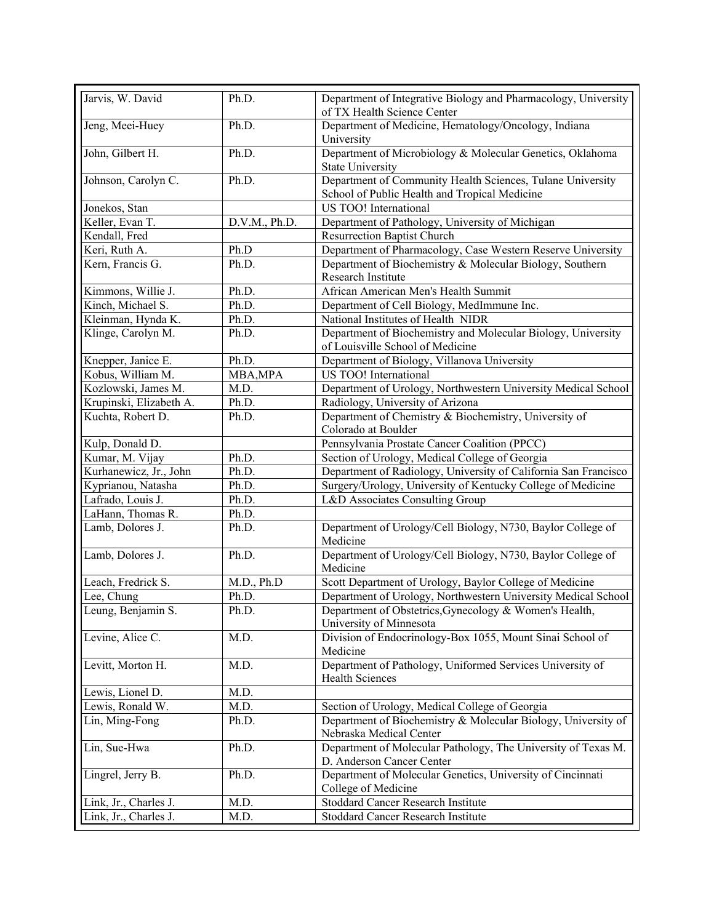| Jarvis, W. David        | Ph.D.         | Department of Integrative Biology and Pharmacology, University<br>of TX Health Science Center               |
|-------------------------|---------------|-------------------------------------------------------------------------------------------------------------|
| Jeng, Meei-Huey         | Ph.D.         | Department of Medicine, Hematology/Oncology, Indiana<br>University                                          |
| John, Gilbert H.        | Ph.D.         | Department of Microbiology & Molecular Genetics, Oklahoma<br><b>State University</b>                        |
| Johnson, Carolyn C.     | Ph.D.         | Department of Community Health Sciences, Tulane University<br>School of Public Health and Tropical Medicine |
| Jonekos, Stan           |               | US TOO! International                                                                                       |
| Keller, Evan T.         | D.V.M., Ph.D. | Department of Pathology, University of Michigan                                                             |
| Kendall, Fred           |               | <b>Resurrection Baptist Church</b>                                                                          |
| Keri, Ruth A.           | Ph.D          | Department of Pharmacology, Case Western Reserve University                                                 |
| Kern, Francis G.        | Ph.D.         | Department of Biochemistry & Molecular Biology, Southern<br>Research Institute                              |
| Kimmons, Willie J.      | Ph.D.         | African American Men's Health Summit                                                                        |
| Kinch, Michael S.       | Ph.D.         | Department of Cell Biology, MedImmune Inc.                                                                  |
| Kleinman, Hynda K.      | Ph.D.         | National Institutes of Health NIDR                                                                          |
| Klinge, Carolyn M.      | Ph.D.         | Department of Biochemistry and Molecular Biology, University<br>of Louisville School of Medicine            |
| Knepper, Janice E.      | Ph.D.         | Department of Biology, Villanova University                                                                 |
| Kobus, William M.       | MBA, MPA      | US TOO! International                                                                                       |
| Kozlowski, James M.     | M.D.          | Department of Urology, Northwestern University Medical School                                               |
| Krupinski, Elizabeth A. | Ph.D.         | Radiology, University of Arizona                                                                            |
| Kuchta, Robert D.       | Ph.D.         | Department of Chemistry & Biochemistry, University of                                                       |
|                         |               | Colorado at Boulder                                                                                         |
| Kulp, Donald D.         |               | Pennsylvania Prostate Cancer Coalition (PPCC)                                                               |
| Kumar, M. Vijay         | Ph.D.         | Section of Urology, Medical College of Georgia                                                              |
| Kurhanewicz, Jr., John  | Ph.D.         | Department of Radiology, University of California San Francisco                                             |
| Kyprianou, Natasha      | Ph.D.         | Surgery/Urology, University of Kentucky College of Medicine                                                 |
| Lafrado, Louis J.       | Ph.D.         | L&D Associates Consulting Group                                                                             |
| LaHann, Thomas R.       | Ph.D.         |                                                                                                             |
| Lamb, Dolores J.        | Ph.D.         | Department of Urology/Cell Biology, N730, Baylor College of<br>Medicine                                     |
| Lamb, Dolores J.        | Ph.D.         | Department of Urology/Cell Biology, N730, Baylor College of<br>Medicine                                     |
| Leach, Fredrick S.      | M.D., Ph.D    | Scott Department of Urology, Baylor College of Medicine                                                     |
| Lee, Chung              | Ph.D.         | Department of Urology, Northwestern University Medical School                                               |
| Leung, Benjamin S.      | Ph.D.         | Department of Obstetrics, Gynecology & Women's Health,<br>University of Minnesota                           |
| Levine, Alice C.        | M.D.          | Division of Endocrinology-Box 1055, Mount Sinai School of<br>Medicine                                       |
| Levitt, Morton H.       | M.D.          | Department of Pathology, Uniformed Services University of<br><b>Health Sciences</b>                         |
| Lewis, Lionel D.        | M.D.          |                                                                                                             |
| Lewis, Ronald W.        | M.D.          | Section of Urology, Medical College of Georgia                                                              |
| Lin, Ming-Fong          | Ph.D.         | Department of Biochemistry & Molecular Biology, University of<br>Nebraska Medical Center                    |
| Lin, Sue-Hwa            |               |                                                                                                             |
|                         | Ph.D.         | Department of Molecular Pathology, The University of Texas M.                                               |
| Lingrel, Jerry B.       | Ph.D.         | D. Anderson Cancer Center<br>Department of Molecular Genetics, University of Cincinnati                     |
| Link, Jr., Charles J.   | M.D.          | College of Medicine<br><b>Stoddard Cancer Research Institute</b>                                            |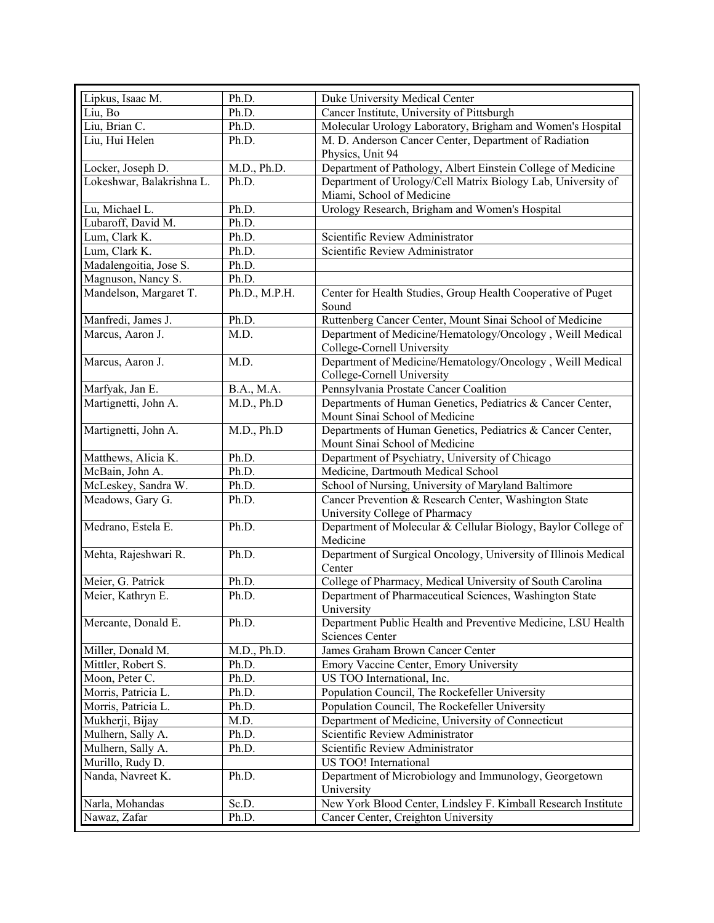| Lipkus, Isaac M.          | Ph.D.                    | Duke University Medical Center                                                               |
|---------------------------|--------------------------|----------------------------------------------------------------------------------------------|
| Liu, Bo                   | Ph.D.                    | Cancer Institute, University of Pittsburgh                                                   |
| Liu, Brian C.             | Ph.D.                    | Molecular Urology Laboratory, Brigham and Women's Hospital                                   |
| Liu, Hui Helen            | Ph.D.                    | M. D. Anderson Cancer Center, Department of Radiation                                        |
|                           |                          | Physics, Unit 94                                                                             |
| Locker, Joseph D.         | $M.D., \overline{Ph.D.}$ | Department of Pathology, Albert Einstein College of Medicine                                 |
| Lokeshwar, Balakrishna L. | Ph.D.                    | Department of Urology/Cell Matrix Biology Lab, University of<br>Miami, School of Medicine    |
| Lu, Michael L.            | Ph.D.                    | Urology Research, Brigham and Women's Hospital                                               |
| Lubaroff, David M.        | Ph.D.                    |                                                                                              |
| Lum, Clark K.             | Ph.D.                    | Scientific Review Administrator                                                              |
| Lum, Clark K.             | Ph.D.                    | Scientific Review Administrator                                                              |
| Madalengoitia, Jose S.    | Ph.D.                    |                                                                                              |
| Magnuson, Nancy S.        | Ph.D.                    |                                                                                              |
| Mandelson, Margaret T.    | Ph.D., M.P.H.            | Center for Health Studies, Group Health Cooperative of Puget<br>Sound                        |
| Manfredi, James J.        | Ph.D.                    | Ruttenberg Cancer Center, Mount Sinai School of Medicine                                     |
| Marcus, Aaron J.          | M.D.                     | Department of Medicine/Hematology/Oncology, Weill Medical                                    |
|                           |                          | College-Cornell University                                                                   |
| Marcus, Aaron J.          | M.D.                     | Department of Medicine/Hematology/Oncology, Weill Medical                                    |
|                           |                          | College-Cornell University                                                                   |
| Marfyak, Jan E.           | B.A., M.A.               | Pennsylvania Prostate Cancer Coalition                                                       |
| Martignetti, John A.      | M.D., Ph.D               | Departments of Human Genetics, Pediatrics & Cancer Center,                                   |
|                           |                          | Mount Sinai School of Medicine                                                               |
| Martignetti, John A.      | M.D., Ph.D               | Departments of Human Genetics, Pediatrics & Cancer Center,<br>Mount Sinai School of Medicine |
| Matthews, Alicia K.       | Ph.D.                    | Department of Psychiatry, University of Chicago                                              |
| McBain, John A.           | Ph.D.                    | Medicine, Dartmouth Medical School                                                           |
| McLeskey, Sandra W.       | Ph.D.                    | School of Nursing, University of Maryland Baltimore                                          |
| Meadows, Gary G.          | Ph.D.                    | Cancer Prevention & Research Center, Washington State                                        |
|                           |                          | University College of Pharmacy                                                               |
| Medrano, Estela E.        | Ph.D.                    | Department of Molecular & Cellular Biology, Baylor College of<br>Medicine                    |
| Mehta, Rajeshwari R.      | Ph.D.                    | Department of Surgical Oncology, University of Illinois Medical<br>Center                    |
| Meier, G. Patrick         | Ph.D.                    | College of Pharmacy, Medical University of South Carolina                                    |
| Meier, Kathryn E.         | Ph.D.                    | Department of Pharmaceutical Sciences, Washington State<br>University                        |
| Mercante, Donald E.       | Ph.D.                    | Department Public Health and Preventive Medicine, LSU Health                                 |
|                           | M.D., Ph.D.              | <b>Sciences Center</b>                                                                       |
| Miller, Donald M.         |                          | James Graham Brown Cancer Center                                                             |
| Mittler, Robert S.        | Ph.D.                    | Emory Vaccine Center, Emory University                                                       |
| Moon, Peter C.            | Ph.D.                    | US TOO International, Inc.                                                                   |
| Morris, Patricia L.       | Ph.D.                    | Population Council, The Rockefeller University                                               |
| Morris, Patricia L.       | Ph.D.                    | Population Council, The Rockefeller University                                               |
| Mukherji, Bijay           | M.D.                     | Department of Medicine, University of Connecticut                                            |
| Mulhern, Sally A.         | Ph.D.                    | Scientific Review Administrator                                                              |
| Mulhern, Sally A.         | Ph.D.                    | Scientific Review Administrator                                                              |
| Murillo, Rudy D.          |                          | US TOO! International                                                                        |
| Nanda, Navreet K.         | Ph.D.                    | Department of Microbiology and Immunology, Georgetown                                        |
|                           |                          | University                                                                                   |
| Narla, Mohandas           | Sc.D.                    | New York Blood Center, Lindsley F. Kimball Research Institute                                |
| Nawaz, Zafar              | Ph.D.                    | Cancer Center, Creighton University                                                          |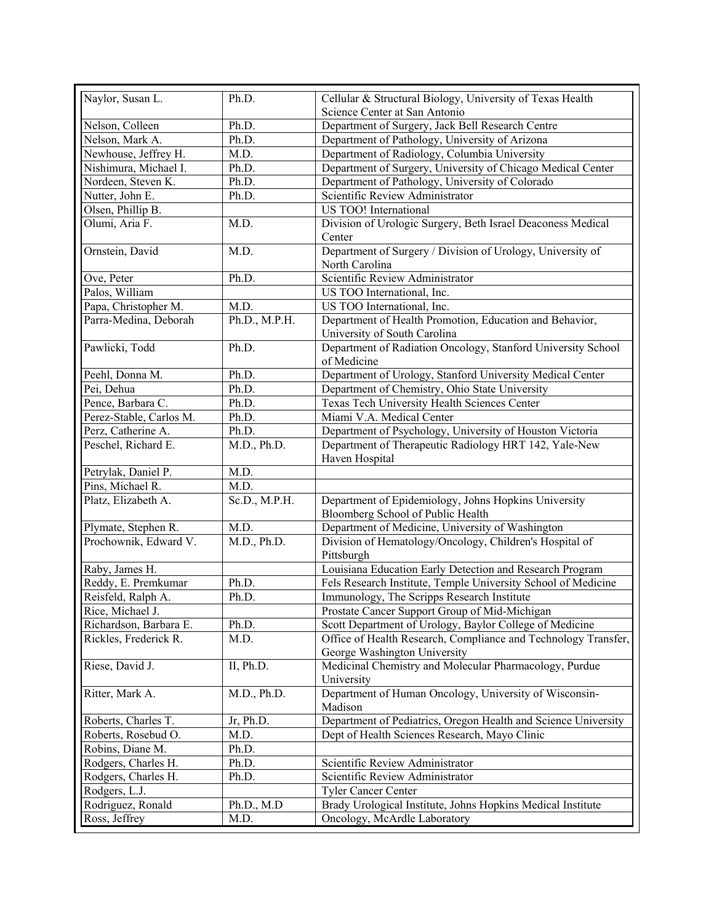| Naylor, Susan L.        | Ph.D.         | Cellular & Structural Biology, University of Texas Health               |
|-------------------------|---------------|-------------------------------------------------------------------------|
|                         |               | Science Center at San Antonio                                           |
| Nelson, Colleen         | Ph.D.         | Department of Surgery, Jack Bell Research Centre                        |
| Nelson, Mark A.         | Ph.D.         | Department of Pathology, University of Arizona                          |
| Newhouse, Jeffrey H.    | M.D.          | Department of Radiology, Columbia University                            |
| Nishimura, Michael I.   | Ph.D.         | Department of Surgery, University of Chicago Medical Center             |
| Nordeen, Steven K.      | Ph.D.         | Department of Pathology, University of Colorado                         |
| Nutter, John E.         | Ph.D.         | Scientific Review Administrator                                         |
| Olsen, Phillip B.       |               | US TOO! International                                                   |
| Olumi, Aria F.          | M.D.          | Division of Urologic Surgery, Beth Israel Deaconess Medical             |
|                         |               | Center                                                                  |
| Ornstein, David         | M.D.          | Department of Surgery / Division of Urology, University of              |
|                         |               | North Carolina                                                          |
| Ove, Peter              | Ph.D.         | Scientific Review Administrator                                         |
| Palos, William          |               | US TOO International, Inc.                                              |
| Papa, Christopher M.    | M.D.          | US TOO International, Inc.                                              |
| Parra-Medina, Deborah   | Ph.D., M.P.H. | Department of Health Promotion, Education and Behavior,                 |
|                         |               | University of South Carolina                                            |
| Pawlicki, Todd          | Ph.D.         | Department of Radiation Oncology, Stanford University School            |
|                         |               | of Medicine                                                             |
| Peehl, Donna M.         | Ph.D.         | Department of Urology, Stanford University Medical Center               |
| Pei, Dehua              | Ph.D.         | Department of Chemistry, Ohio State University                          |
| Pence, Barbara C.       | Ph.D.         | Texas Tech University Health Sciences Center                            |
| Perez-Stable, Carlos M. | Ph.D.         | Miami V.A. Medical Center                                               |
| Perz, Catherine A.      | Ph.D.         | Department of Psychology, University of Houston Victoria                |
| Peschel, Richard E.     | M.D., Ph.D.   |                                                                         |
|                         |               | Department of Therapeutic Radiology HRT 142, Yale-New<br>Haven Hospital |
| Petrylak, Daniel P.     | M.D.          |                                                                         |
| Pins, Michael R.        | M.D.          |                                                                         |
| Platz, Elizabeth A.     | Sc.D., M.P.H. | Department of Epidemiology, Johns Hopkins University                    |
|                         |               | Bloomberg School of Public Health                                       |
| Plymate, Stephen R.     | M.D.          | Department of Medicine, University of Washington                        |
| Prochownik, Edward V.   | M.D., Ph.D.   | Division of Hematology/Oncology, Children's Hospital of                 |
|                         |               | Pittsburgh                                                              |
| Raby, James H.          |               | Louisiana Education Early Detection and Research Program                |
| Reddy, E. Premkumar     | Ph.D.         | Fels Research Institute, Temple University School of Medicine           |
| Reisfeld, Ralph A.      | Ph.D.         | Immunology, The Scripps Research Institute                              |
| Rice, Michael J.        |               | Prostate Cancer Support Group of Mid-Michigan                           |
| Richardson, Barbara E.  | Ph.D.         | Scott Department of Urology, Baylor College of Medicine                 |
| Rickles, Frederick R.   | M.D.          | Office of Health Research, Compliance and Technology Transfer,          |
|                         |               | George Washington University                                            |
| Riese, David J.         | II, Ph.D.     | Medicinal Chemistry and Molecular Pharmacology, Purdue                  |
|                         |               | University                                                              |
| Ritter, Mark A.         | M.D., Ph.D.   | Department of Human Oncology, University of Wisconsin-                  |
|                         |               | Madison                                                                 |
| Roberts, Charles T.     | Jr, Ph.D.     | Department of Pediatrics, Oregon Health and Science University          |
| Roberts, Rosebud O.     | M.D.          | Dept of Health Sciences Research, Mayo Clinic                           |
| Robins, Diane M.        | Ph.D.         |                                                                         |
| Rodgers, Charles H.     | Ph.D.         | Scientific Review Administrator                                         |
| Rodgers, Charles H.     | Ph.D.         | Scientific Review Administrator                                         |
| Rodgers, L.J.           |               | <b>Tyler Cancer Center</b>                                              |
| Rodriguez, Ronald       | Ph.D., M.D    | Brady Urological Institute, Johns Hopkins Medical Institute             |
|                         |               |                                                                         |
| Ross, Jeffrey           | M.D.          | Oncology, McArdle Laboratory                                            |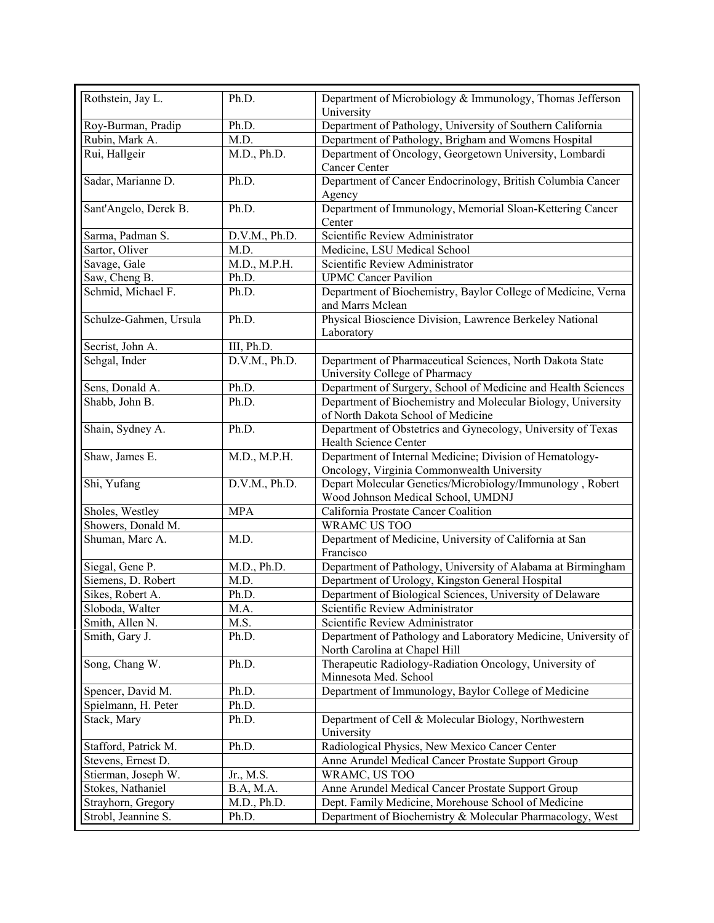| Rothstein, Jay L.      | Ph.D.            | Department of Microbiology & Immunology, Thomas Jefferson<br>University                                |
|------------------------|------------------|--------------------------------------------------------------------------------------------------------|
| Roy-Burman, Pradip     | Ph.D.            | Department of Pathology, University of Southern California                                             |
| Rubin, Mark A.         | M.D.             | Department of Pathology, Brigham and Womens Hospital                                                   |
| Rui, Hallgeir          | M.D., Ph.D.      | Department of Oncology, Georgetown University, Lombardi<br><b>Cancer Center</b>                        |
| Sadar, Marianne D.     | Ph.D.            | Department of Cancer Endocrinology, British Columbia Cancer<br>Agency                                  |
| Sant'Angelo, Derek B.  | Ph.D.            | Department of Immunology, Memorial Sloan-Kettering Cancer<br>Center                                    |
| Sarma, Padman S.       | D.V.M., Ph.D.    | Scientific Review Administrator                                                                        |
| Sartor, Oliver         | M.D.             | Medicine, LSU Medical School                                                                           |
| Savage, Gale           | M.D., M.P.H.     | Scientific Review Administrator                                                                        |
| Saw, Cheng B.          | Ph.D.            | <b>UPMC Cancer Pavilion</b>                                                                            |
| Schmid, Michael F.     | Ph.D.            | Department of Biochemistry, Baylor College of Medicine, Verna<br>and Marrs Mclean                      |
| Schulze-Gahmen, Ursula | Ph.D.            | Physical Bioscience Division, Lawrence Berkeley National<br>Laboratory                                 |
| Secrist, John A.       | III, Ph.D.       |                                                                                                        |
| Sehgal, Inder          | D.V.M., Ph.D.    | Department of Pharmaceutical Sciences, North Dakota State                                              |
|                        |                  | University College of Pharmacy                                                                         |
| Sens, Donald A.        | Ph.D.            | Department of Surgery, School of Medicine and Health Sciences                                          |
| Shabb, John B.         | Ph.D.            | Department of Biochemistry and Molecular Biology, University<br>of North Dakota School of Medicine     |
| Shain, Sydney A.       | Ph.D.            | Department of Obstetrics and Gynecology, University of Texas<br>Health Science Center                  |
| Shaw, James E.         | M.D., M.P.H.     | Department of Internal Medicine; Division of Hematology-<br>Oncology, Virginia Commonwealth University |
| Shi, Yufang            | D.V.M., Ph.D.    | Depart Molecular Genetics/Microbiology/Immunology, Robert<br>Wood Johnson Medical School, UMDNJ        |
| Sholes, Westley        | <b>MPA</b>       | California Prostate Cancer Coalition                                                                   |
| Showers, Donald M.     |                  | WRAMC US TOO                                                                                           |
| Shuman, Marc A.        | M.D.             | Department of Medicine, University of California at San                                                |
|                        |                  | Francisco                                                                                              |
| Siegal, Gene P.        | M.D., Ph.D.      | Department of Pathology, University of Alabama at Birmingham                                           |
| Siemens, D. Robert     | M.D.             | Department of Urology, Kingston General Hospital                                                       |
| Sikes, Robert A.       | Ph.D.            | Department of Biological Sciences, University of Delaware                                              |
| Sloboda, Walter        | M.A.             | Scientific Review Administrator                                                                        |
| Smith, Allen N.        | M.S.             | Scientific Review Administrator                                                                        |
| Smith, Gary J.         | Ph.D.            | Department of Pathology and Laboratory Medicine, University of<br>North Carolina at Chapel Hill        |
| Song, Chang W.         | Ph.D.            | Therapeutic Radiology-Radiation Oncology, University of<br>Minnesota Med. School                       |
| Spencer, David M.      | Ph.D.            | Department of Immunology, Baylor College of Medicine                                                   |
| Spielmann, H. Peter    | Ph.D.            |                                                                                                        |
| Stack, Mary            | Ph.D.            | Department of Cell & Molecular Biology, Northwestern<br>University                                     |
| Stafford, Patrick M.   | Ph.D.            | Radiological Physics, New Mexico Cancer Center                                                         |
| Stevens, Ernest D.     |                  | Anne Arundel Medical Cancer Prostate Support Group                                                     |
| Stierman, Joseph W.    | Jr., M.S.        | WRAMC, US TOO                                                                                          |
| Stokes, Nathaniel      | <b>B.A, M.A.</b> | Anne Arundel Medical Cancer Prostate Support Group                                                     |
| Strayhorn, Gregory     | M.D., Ph.D.      | Dept. Family Medicine, Morehouse School of Medicine                                                    |
| Strobl, Jeannine S.    | Ph.D.            | Department of Biochemistry & Molecular Pharmacology, West                                              |
|                        |                  |                                                                                                        |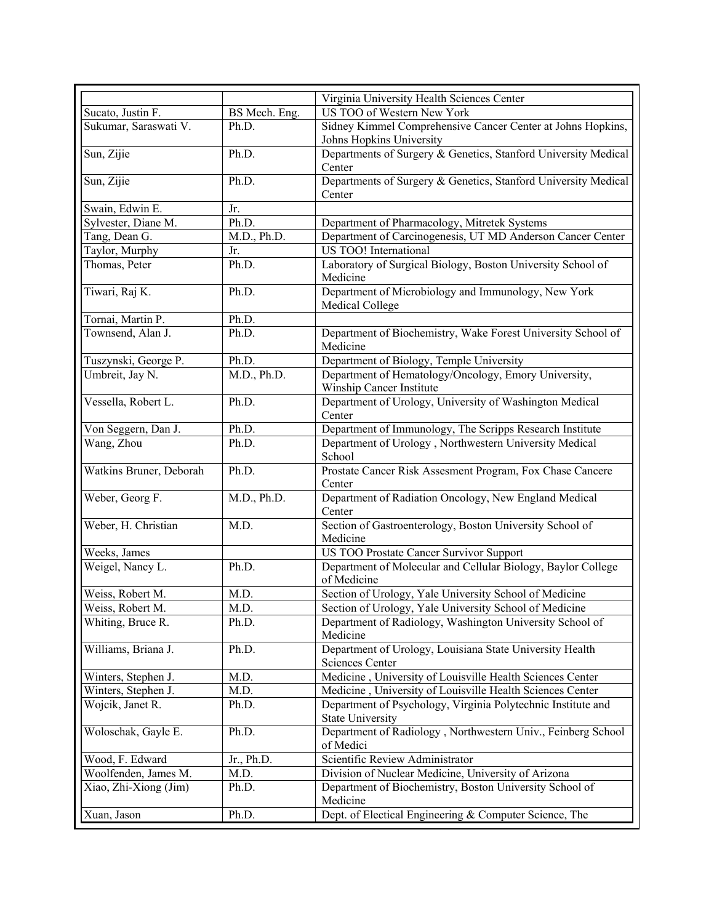|                         |               | Virginia University Health Sciences Center                                  |
|-------------------------|---------------|-----------------------------------------------------------------------------|
| Sucato, Justin F.       | BS Mech. Eng. | US TOO of Western New York                                                  |
| Sukumar, Saraswati V.   | Ph.D.         | Sidney Kimmel Comprehensive Cancer Center at Johns Hopkins,                 |
|                         |               | Johns Hopkins University                                                    |
| Sun, Zijie              | Ph.D.         | Departments of Surgery & Genetics, Stanford University Medical              |
|                         |               | Center                                                                      |
| Sun, Zijie              | Ph.D.         | Departments of Surgery & Genetics, Stanford University Medical              |
|                         |               | Center                                                                      |
| Swain, Edwin E.         | Jr.           |                                                                             |
| Sylvester, Diane M.     | Ph.D.         | Department of Pharmacology, Mitretek Systems                                |
| Tang, Dean G.           | M.D., Ph.D.   | Department of Carcinogenesis, UT MD Anderson Cancer Center                  |
| Taylor, Murphy          | Jr.           | US TOO! International                                                       |
| Thomas, Peter           | Ph.D.         | Laboratory of Surgical Biology, Boston University School of<br>Medicine     |
| Tiwari, Raj K.          | Ph.D.         | Department of Microbiology and Immunology, New York                         |
|                         |               | Medical College                                                             |
| Tornai, Martin P.       | Ph.D.         |                                                                             |
| Townsend, Alan J.       | Ph.D.         | Department of Biochemistry, Wake Forest University School of                |
|                         |               | Medicine                                                                    |
| Tuszynski, George P.    | Ph.D.         | Department of Biology, Temple University                                    |
| Umbreit, Jay N.         | M.D., Ph.D.   | Department of Hematology/Oncology, Emory University,                        |
|                         |               | Winship Cancer Institute                                                    |
| Vessella, Robert L.     | Ph.D.         | Department of Urology, University of Washington Medical                     |
|                         |               | Center                                                                      |
| Von Seggern, Dan J.     | Ph.D.         | Department of Immunology, The Scripps Research Institute                    |
| Wang, Zhou              | Ph.D.         | Department of Urology, Northwestern University Medical<br>School            |
| Watkins Bruner, Deborah | Ph.D.         | Prostate Cancer Risk Assesment Program, Fox Chase Cancere                   |
|                         |               | Center                                                                      |
| Weber, Georg F.         | M.D., Ph.D.   | Department of Radiation Oncology, New England Medical<br>Center             |
| Weber, H. Christian     | M.D.          | Section of Gastroenterology, Boston University School of                    |
|                         |               | Medicine                                                                    |
| Weeks, James            |               | US TOO Prostate Cancer Survivor Support                                     |
| Weigel, Nancy L.        | Ph.D.         | Department of Molecular and Cellular Biology, Baylor College<br>of Medicine |
| Weiss, Robert M.        | M.D.          | Section of Urology, Yale University School of Medicine                      |
| Weiss, Robert M.        | M.D.          | Section of Urology, Yale University School of Medicine                      |
| Whiting, Bruce R.       | Ph.D.         | Department of Radiology, Washington University School of                    |
| Williams, Briana J.     | Ph.D.         | Medicine<br>Department of Urology, Louisiana State University Health        |
|                         |               | <b>Sciences Center</b>                                                      |
| Winters, Stephen J.     | M.D.          | Medicine, University of Louisville Health Sciences Center                   |
| Winters, Stephen J.     | M.D.          | Medicine, University of Louisville Health Sciences Center                   |
| Wojcik, Janet R.        | Ph.D.         | Department of Psychology, Virginia Polytechnic Institute and                |
|                         |               | <b>State University</b>                                                     |
| Woloschak, Gayle E.     | Ph.D.         | Department of Radiology, Northwestern Univ., Feinberg School                |
|                         |               | of Medici                                                                   |
| Wood, F. Edward         | Jr., Ph.D.    | Scientific Review Administrator                                             |
| Woolfenden, James M.    | M.D.          | Division of Nuclear Medicine, University of Arizona                         |
| Xiao, Zhi-Xiong (Jim)   | Ph.D.         | Department of Biochemistry, Boston University School of<br>Medicine         |
|                         |               | Dept. of Electical Engineering & Computer Science, The                      |